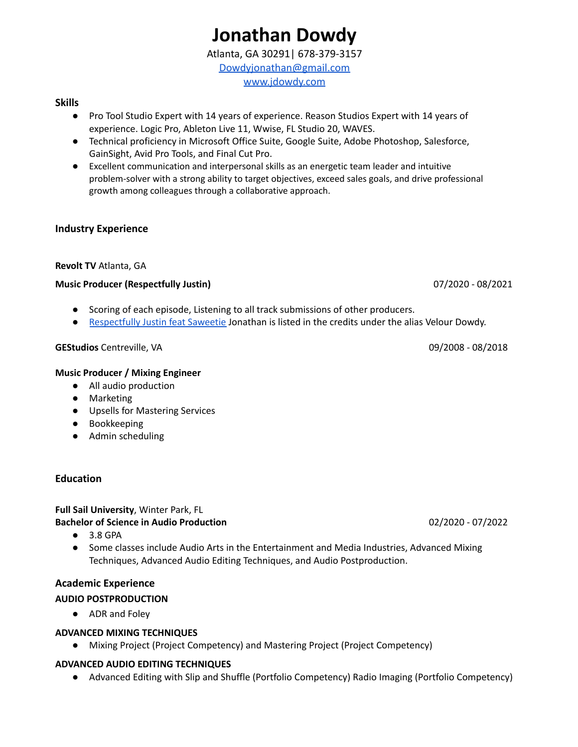# **Jonathan Dowdy**

Atlanta, GA 30291| 678-379-3157 [Dowdyjonathan@gmail.com](mailto:Dowdyjonathan@gmail.com) [www.jdowdy.com](http://www.jdowdy.com)

## **Skills**

- Pro Tool Studio Expert with 14 years of experience. Reason Studios Expert with 14 years of experience. Logic Pro, Ableton Live 11, Wwise, FL Studio 20, WAVES.
- Technical proficiency in Microsoft Office Suite, Google Suite, Adobe Photoshop, Salesforce, GainSight, Avid Pro Tools, and Final Cut Pro.
- Excellent communication and interpersonal skills as an energetic team leader and intuitive problem-solver with a strong ability to target objectives, exceed sales goals, and drive professional growth among colleagues through a collaborative approach.

# **Industry Experience**

## **Revolt TV** Atlanta, GA

## **Music Producer (Respectfully Justin)** 07/2020 - 08/2021

- Scoring of each episode, Listening to all track submissions of other producers.
- [Respectfully](https://www.youtube.com/watch?v=Z4dzaqVqZv8) Justin feat Saweetie Jonathan is listed in the credits under the alias Velour Dowdy.

## **GEStudios** Centreville, VA 09/2008 - 08/2018

## **Music Producer / Mixing Engineer**

- All audio production
- Marketing
- Upsells for Mastering Services
- Bookkeeping
- Admin scheduling

# **Education**

#### **Full Sail University**, Winter Park, FL **Bachelor of Science in Audio Production** 02/2020 - 07/2022

- 3.8 GPA
- Some classes include Audio Arts in the Entertainment and Media Industries, Advanced Mixing Techniques, Advanced Audio Editing Techniques, and Audio Postproduction.

# **Academic Experience**

# **AUDIO POSTPRODUCTION**

**●** ADR and Foley

# **ADVANCED MIXING TECHNIQUES**

**●** Mixing Project (Project Competency) and Mastering Project (Project Competency)

## **ADVANCED AUDIO EDITING TECHNIQUES**

**●** Advanced Editing with Slip and Shuffle (Portfolio Competency) Radio Imaging (Portfolio Competency)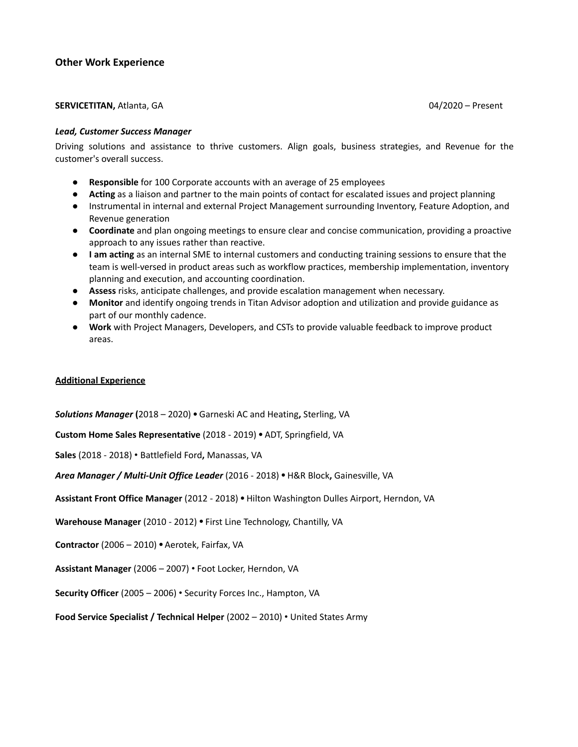## **Other Work Experience**

#### **SERVICETITAN,** Atlanta, GA 04/2020 – Present

#### *Lead, Customer Success Manager*

Driving solutions and assistance to thrive customers. Align goals, business strategies, and Revenue for the customer's overall success.

- **Responsible** for 100 Corporate accounts with an average of 25 employees
- **Acting** as a liaison and partner to the main points of contact for escalated issues and project planning
- Instrumental in internal and external Project Management surrounding Inventory, Feature Adoption, and Revenue generation
- **Coordinate** and plan ongoing meetings to ensure clear and concise communication, providing a proactive approach to any issues rather than reactive.
- **I am acting** as an internal SME to internal customers and conducting training sessions to ensure that the team is well-versed in product areas such as workflow practices, membership implementation, inventory planning and execution, and accounting coordination.
- **● Assess** risks, anticipate challenges, and provide escalation management when necessary.
- **● Monitor** and identify ongoing trends in Titan Advisor adoption and utilization and provide guidance as part of our monthly cadence.
- **● Work** with Project Managers, Developers, and CSTs to provide valuable feedback to improve product areas.

#### **Additional Experience**

*Solutions Manager* **(**2018 – 2020) **•** Garneski AC and Heating**,** Sterling, VA

**Custom Home Sales Representative** (2018 - 2019) **•** ADT, Springfield, VA

**Sales** (2018 - 2018) • Battlefield Ford**,** Manassas, VA

*Area Manager / Multi-Unit Office Leader* (2016 - 2018) **•** H&R Block**,** Gainesville, VA

**Assistant Front Office Manager** (2012 - 2018) **•** Hilton Washington Dulles Airport, Herndon, VA

**Warehouse Manager** (2010 - 2012) **•** First Line Technology, Chantilly, VA

**Contractor** (2006 – 2010) **•** Aerotek, Fairfax, VA

**Assistant Manager** (2006 – 2007) • Foot Locker, Herndon, VA

**Security Officer** (2005 – 2006) • Security Forces Inc., Hampton, VA

**Food Service Specialist / Technical Helper** (2002 – 2010) • United States Army